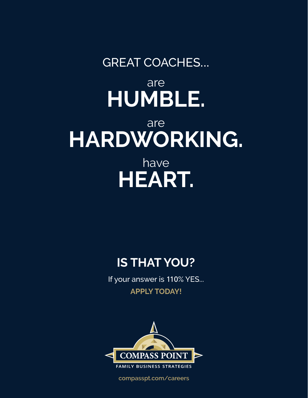# GREAT COACHES... are **HUMBLE.** are **HARDWORKING.** have **HEART.**

## **IS THAT YOU?**

If your answer is 110% YES... **APPLY TODAY!**



**[compasspt.com](http://www.compasspt.com)/careers**